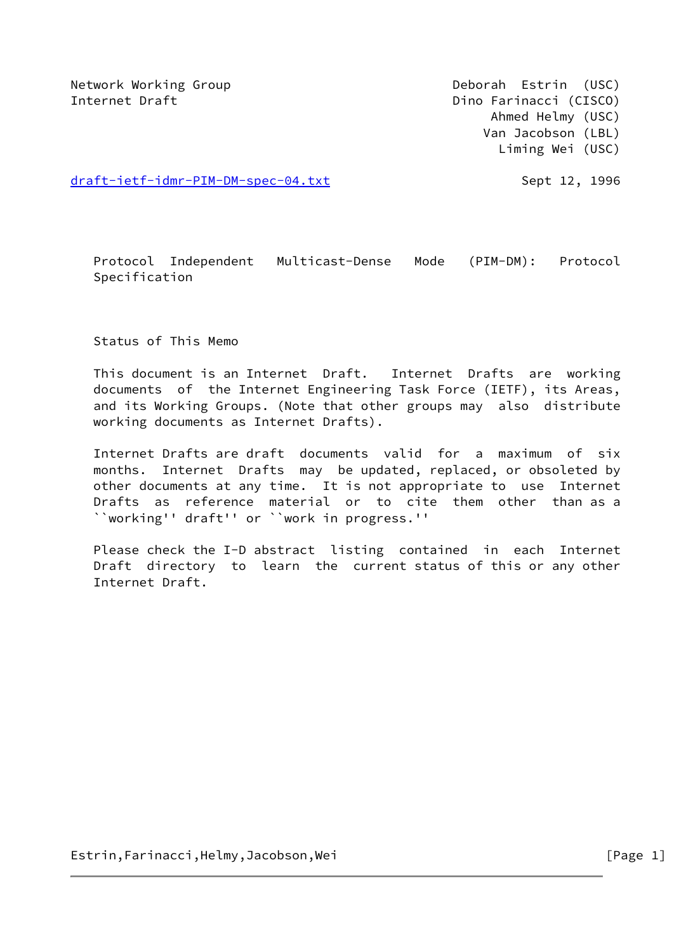Network Working Group **Deborah Estrin** (USC) Internet Draft **Dino Farinacci** (CISCO) Ahmed Helmy (USC) Van Jacobson (LBL) Liming Wei (USC)

[draft-ietf-idmr-PIM-DM-spec-04.txt](https://datatracker.ietf.org/doc/pdf/draft-ietf-idmr-PIM-DM-spec-04.txt)  Sept 12, 1996

 Protocol Independent Multicast-Dense Mode (PIM-DM): Protocol Specification

Status of This Memo

 This document is an Internet Draft. Internet Drafts are working documents of the Internet Engineering Task Force (IETF), its Areas, and its Working Groups. (Note that other groups may also distribute working documents as Internet Drafts).

 Internet Drafts are draft documents valid for a maximum of six months. Internet Drafts may be updated, replaced, or obsoleted by other documents at any time. It is not appropriate to use Internet Drafts as reference material or to cite them other than as a ``working'' draft'' or ``work in progress.''

 Please check the I-D abstract listing contained in each Internet Draft directory to learn the current status of this or any other Internet Draft.

Estrin,Farinacci,Helmy,Jacobson,Wei [Page 1]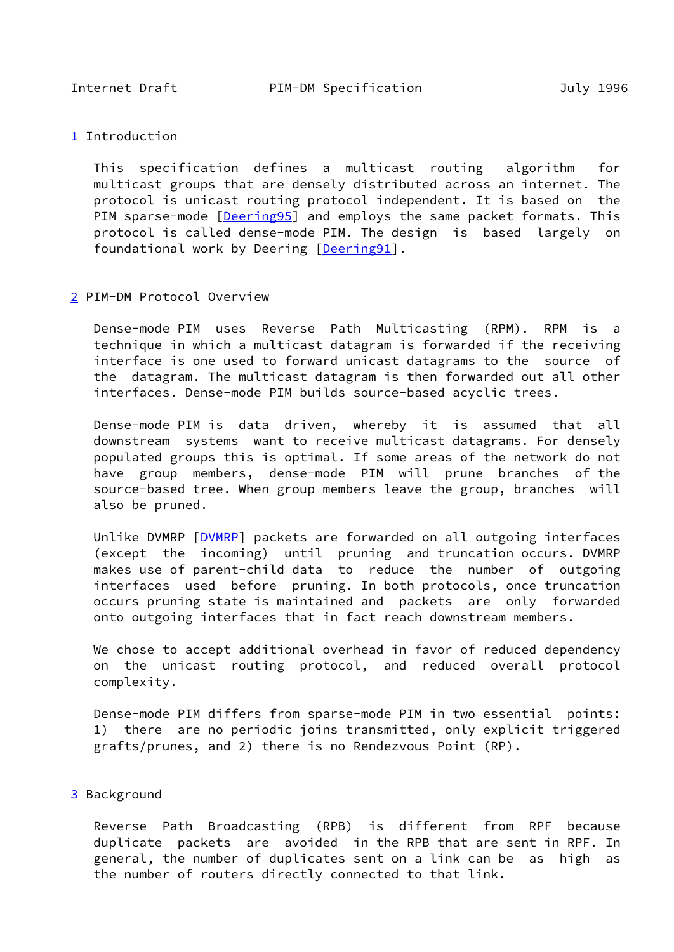<span id="page-1-0"></span>[1](#page-1-0) Introduction

 This specification defines a multicast routing algorithm for multicast groups that are densely distributed across an internet. The protocol is unicast routing protocol independent. It is based on the PIM sparse-mode [\[Deering95](#page-13-0)] and employs the same packet formats. This protocol is called dense-mode PIM. The design is based largely on foundational work by Deering [\[Deering91\]](#page-12-0).

<span id="page-1-1"></span>[2](#page-1-1) PIM-DM Protocol Overview

 Dense-mode PIM uses Reverse Path Multicasting (RPM). RPM is a technique in which a multicast datagram is forwarded if the receiving interface is one used to forward unicast datagrams to the source of the datagram. The multicast datagram is then forwarded out all other interfaces. Dense-mode PIM builds source-based acyclic trees.

 Dense-mode PIM is data driven, whereby it is assumed that all downstream systems want to receive multicast datagrams. For densely populated groups this is optimal. If some areas of the network do not have group members, dense-mode PIM will prune branches of the source-based tree. When group members leave the group, branches will also be pruned.

 Unlike DVMRP [\[DVMRP\]](#page-13-1) packets are forwarded on all outgoing interfaces (except the incoming) until pruning and truncation occurs. DVMRP makes use of parent-child data to reduce the number of outgoing interfaces used before pruning. In both protocols, once truncation occurs pruning state is maintained and packets are only forwarded onto outgoing interfaces that in fact reach downstream members.

 We chose to accept additional overhead in favor of reduced dependency on the unicast routing protocol, and reduced overall protocol complexity.

 Dense-mode PIM differs from sparse-mode PIM in two essential points: 1) there are no periodic joins transmitted, only explicit triggered grafts/prunes, and 2) there is no Rendezvous Point (RP).

# <span id="page-1-2"></span>[3](#page-1-2) Background

 Reverse Path Broadcasting (RPB) is different from RPF because duplicate packets are avoided in the RPB that are sent in RPF. In general, the number of duplicates sent on a link can be as high as the number of routers directly connected to that link.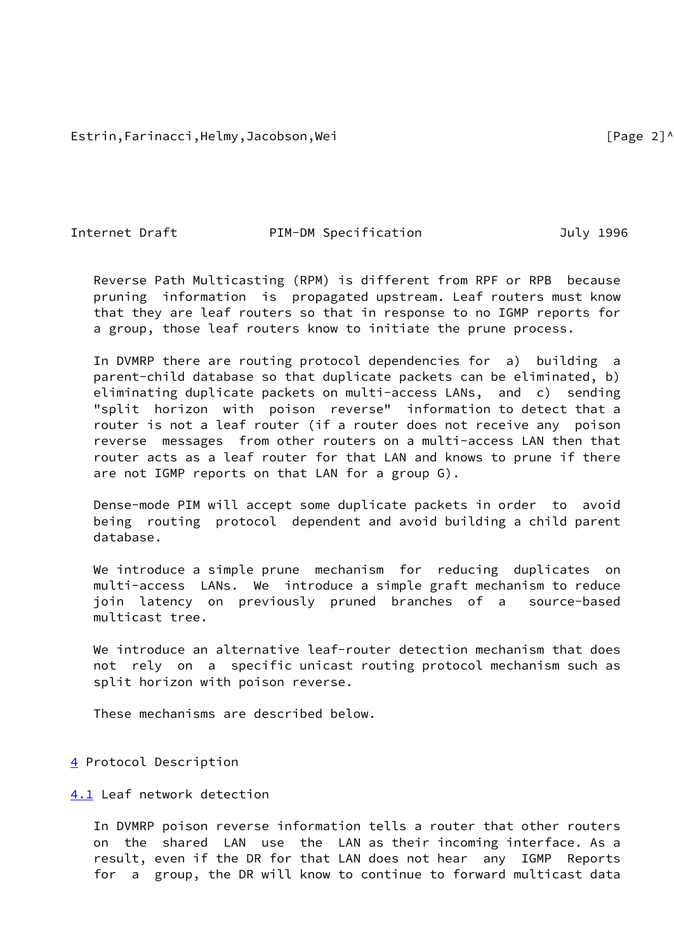Estrin,Farinacci,Helmy,Jacobson,Wei international control of the set of the set of the set of the set of the s

Internet Draft **PIM-DM** Specification **Dramage Strategies** July 1996

 Reverse Path Multicasting (RPM) is different from RPF or RPB because pruning information is propagated upstream. Leaf routers must know that they are leaf routers so that in response to no IGMP reports for a group, those leaf routers know to initiate the prune process.

 In DVMRP there are routing protocol dependencies for a) building a parent-child database so that duplicate packets can be eliminated, b) eliminating duplicate packets on multi-access LANs, and c) sending "split horizon with poison reverse" information to detect that a router is not a leaf router (if a router does not receive any poison reverse messages from other routers on a multi-access LAN then that router acts as a leaf router for that LAN and knows to prune if there are not IGMP reports on that LAN for a group G).

 Dense-mode PIM will accept some duplicate packets in order to avoid being routing protocol dependent and avoid building a child parent database.

We introduce a simple prune mechanism for reducing duplicates on multi-access LANs. We introduce a simple graft mechanism to reduce join latency on previously pruned branches of a source-based multicast tree.

We introduce an alternative leaf-router detection mechanism that does not rely on a specific unicast routing protocol mechanism such as split horizon with poison reverse.

These mechanisms are described below.

## <span id="page-2-0"></span>[4](#page-2-0) Protocol Description

<span id="page-2-1"></span>[4.1](#page-2-1) Leaf network detection

 In DVMRP poison reverse information tells a router that other routers on the shared LAN use the LAN as their incoming interface. As a result, even if the DR for that LAN does not hear any IGMP Reports for a group, the DR will know to continue to forward multicast data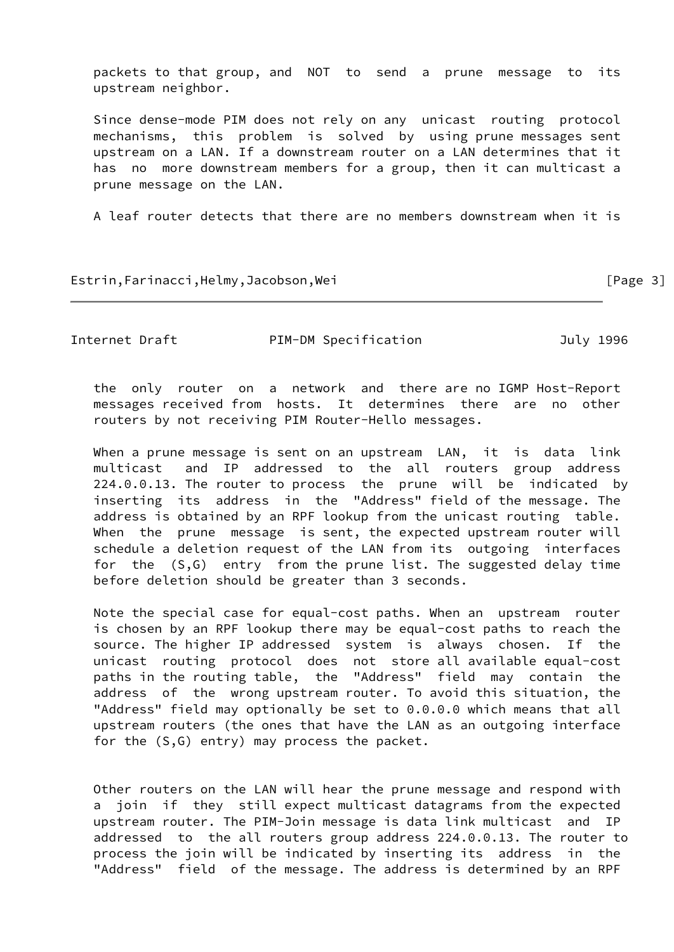packets to that group, and NOT to send a prune message to its upstream neighbor.

 Since dense-mode PIM does not rely on any unicast routing protocol mechanisms, this problem is solved by using prune messages sent upstream on a LAN. If a downstream router on a LAN determines that it has no more downstream members for a group, then it can multicast a prune message on the LAN.

A leaf router detects that there are no members downstream when it is

Estrin,Farinacci,Helmy,Jacobson,Wei [Page 3]

Internet Draft **PIM-DM** Specification **Dramage Strategies** July 1996

 the only router on a network and there are no IGMP Host-Report messages received from hosts. It determines there are no other routers by not receiving PIM Router-Hello messages.

When a prune message is sent on an upstream LAN, it is data link multicast and IP addressed to the all routers group address 224.0.0.13. The router to process the prune will be indicated by inserting its address in the "Address" field of the message. The address is obtained by an RPF lookup from the unicast routing table. When the prune message is sent, the expected upstream router will schedule a deletion request of the LAN from its outgoing interfaces for the (S,G) entry from the prune list. The suggested delay time before deletion should be greater than 3 seconds.

 Note the special case for equal-cost paths. When an upstream router is chosen by an RPF lookup there may be equal-cost paths to reach the source. The higher IP addressed system is always chosen. If the unicast routing protocol does not store all available equal-cost paths in the routing table, the "Address" field may contain the address of the wrong upstream router. To avoid this situation, the "Address" field may optionally be set to 0.0.0.0 which means that all upstream routers (the ones that have the LAN as an outgoing interface for the (S,G) entry) may process the packet.

 Other routers on the LAN will hear the prune message and respond with a join if they still expect multicast datagrams from the expected upstream router. The PIM-Join message is data link multicast and IP addressed to the all routers group address 224.0.0.13. The router to process the join will be indicated by inserting its address in the "Address" field of the message. The address is determined by an RPF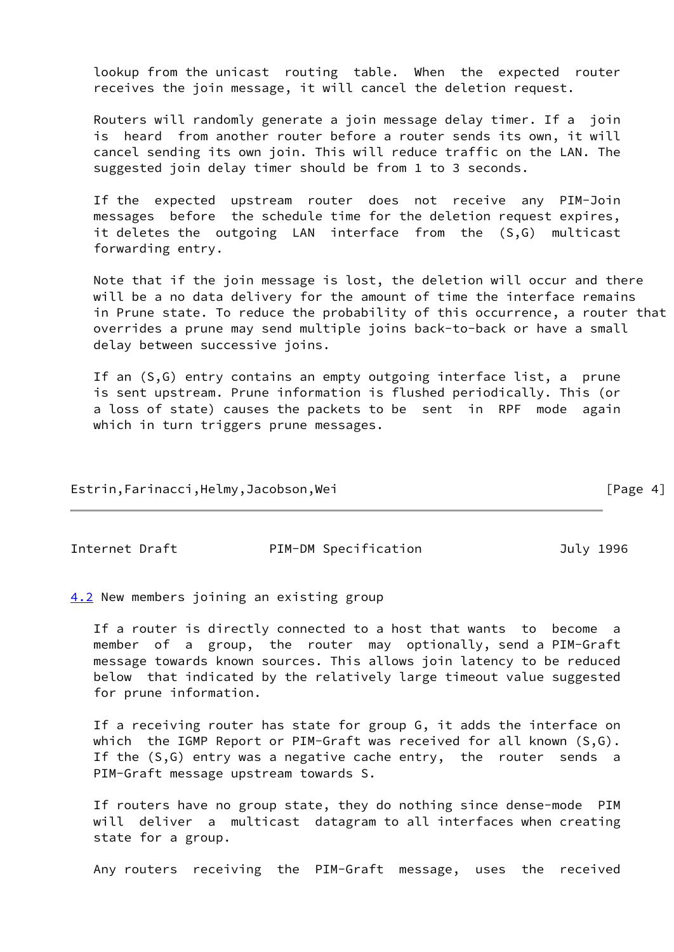lookup from the unicast routing table. When the expected router receives the join message, it will cancel the deletion request.

 Routers will randomly generate a join message delay timer. If a join is heard from another router before a router sends its own, it will cancel sending its own join. This will reduce traffic on the LAN. The suggested join delay timer should be from 1 to 3 seconds.

 If the expected upstream router does not receive any PIM-Join messages before the schedule time for the deletion request expires, it deletes the outgoing LAN interface from the (S,G) multicast forwarding entry.

 Note that if the join message is lost, the deletion will occur and there will be a no data delivery for the amount of time the interface remains in Prune state. To reduce the probability of this occurrence, a router that overrides a prune may send multiple joins back-to-back or have a small delay between successive joins.

 If an (S,G) entry contains an empty outgoing interface list, a prune is sent upstream. Prune information is flushed periodically. This (or a loss of state) causes the packets to be sent in RPF mode again which in turn triggers prune messages.

Estrin,Farinacci,Helmy,Jacobson,Wei [Page 4]

Internet Draft PIM-DM Specification July 1996

<span id="page-4-0"></span>[4.2](#page-4-0) New members joining an existing group

 If a router is directly connected to a host that wants to become a member of a group, the router may optionally, send a PIM-Graft message towards known sources. This allows join latency to be reduced below that indicated by the relatively large timeout value suggested for prune information.

 If a receiving router has state for group G, it adds the interface on which the IGMP Report or PIM-Graft was received for all known (S,G). If the (S,G) entry was a negative cache entry, the router sends a PIM-Graft message upstream towards S.

 If routers have no group state, they do nothing since dense-mode PIM will deliver a multicast datagram to all interfaces when creating state for a group.

Any routers receiving the PIM-Graft message, uses the received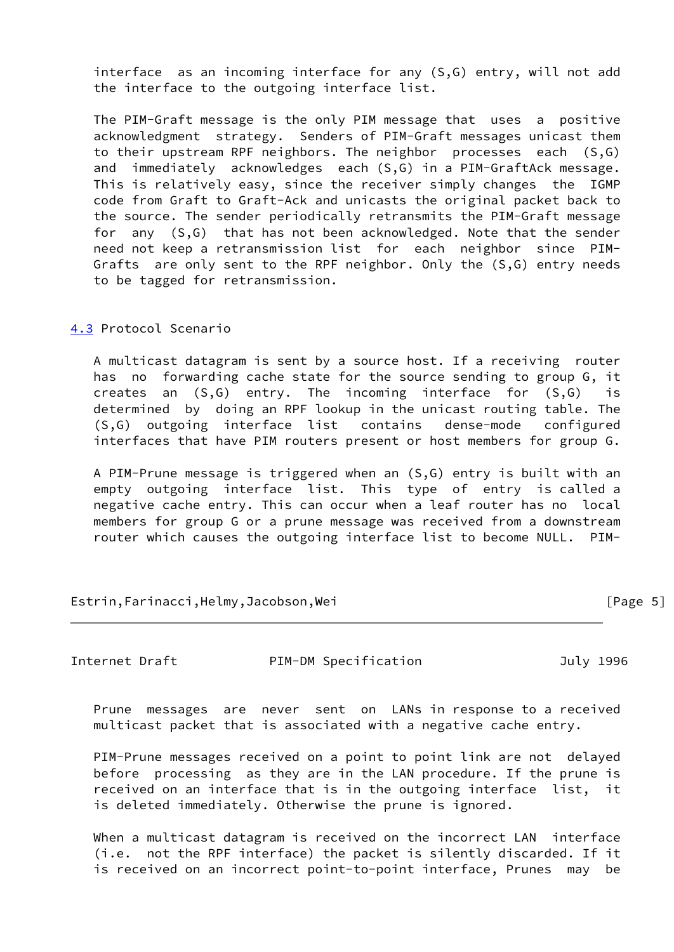interface as an incoming interface for any (S,G) entry, will not add the interface to the outgoing interface list.

 The PIM-Graft message is the only PIM message that uses a positive acknowledgment strategy. Senders of PIM-Graft messages unicast them to their upstream RPF neighbors. The neighbor processes each (S,G) and immediately acknowledges each (S,G) in a PIM-GraftAck message. This is relatively easy, since the receiver simply changes the IGMP code from Graft to Graft-Ack and unicasts the original packet back to the source. The sender periodically retransmits the PIM-Graft message for any (S,G) that has not been acknowledged. Note that the sender need not keep a retransmission list for each neighbor since PIM- Grafts are only sent to the RPF neighbor. Only the (S,G) entry needs to be tagged for retransmission.

### <span id="page-5-0"></span>[4.3](#page-5-0) Protocol Scenario

 A multicast datagram is sent by a source host. If a receiving router has no forwarding cache state for the source sending to group G, it creates an (S,G) entry. The incoming interface for (S,G) is determined by doing an RPF lookup in the unicast routing table. The (S,G) outgoing interface list contains dense-mode configured interfaces that have PIM routers present or host members for group G.

 A PIM-Prune message is triggered when an (S,G) entry is built with an empty outgoing interface list. This type of entry is called a negative cache entry. This can occur when a leaf router has no local members for group G or a prune message was received from a downstream router which causes the outgoing interface list to become NULL. PIM-

Estrin,Farinacci,Helmy,Jacobson,Wei [Page 5]

Internet Draft **PIM-DM** Specification **Dramage Strategies** July 1996

 Prune messages are never sent on LANs in response to a received multicast packet that is associated with a negative cache entry.

 PIM-Prune messages received on a point to point link are not delayed before processing as they are in the LAN procedure. If the prune is received on an interface that is in the outgoing interface list, it is deleted immediately. Otherwise the prune is ignored.

When a multicast datagram is received on the incorrect LAN interface (i.e. not the RPF interface) the packet is silently discarded. If it is received on an incorrect point-to-point interface, Prunes may be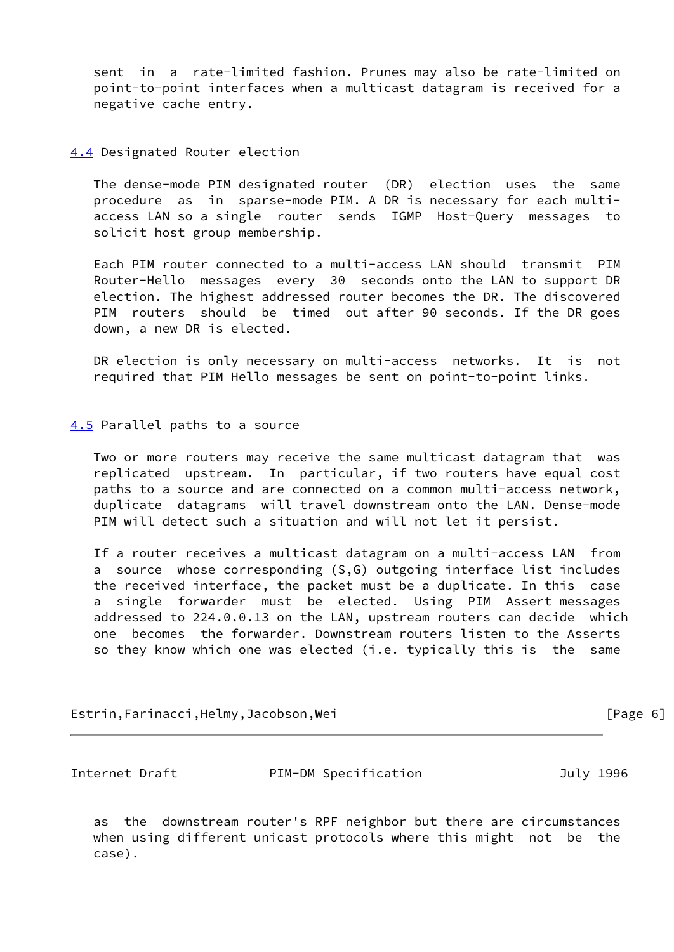sent in a rate-limited fashion. Prunes may also be rate-limited on point-to-point interfaces when a multicast datagram is received for a negative cache entry.

# <span id="page-6-0"></span>[4.4](#page-6-0) Designated Router election

 The dense-mode PIM designated router (DR) election uses the same procedure as in sparse-mode PIM. A DR is necessary for each multi access LAN so a single router sends IGMP Host-Query messages to solicit host group membership.

 Each PIM router connected to a multi-access LAN should transmit PIM Router-Hello messages every 30 seconds onto the LAN to support DR election. The highest addressed router becomes the DR. The discovered PIM routers should be timed out after 90 seconds. If the DR goes down, a new DR is elected.

 DR election is only necessary on multi-access networks. It is not required that PIM Hello messages be sent on point-to-point links.

#### <span id="page-6-1"></span>[4.5](#page-6-1) Parallel paths to a source

 Two or more routers may receive the same multicast datagram that was replicated upstream. In particular, if two routers have equal cost paths to a source and are connected on a common multi-access network, duplicate datagrams will travel downstream onto the LAN. Dense-mode PIM will detect such a situation and will not let it persist.

 If a router receives a multicast datagram on a multi-access LAN from a source whose corresponding (S,G) outgoing interface list includes the received interface, the packet must be a duplicate. In this case a single forwarder must be elected. Using PIM Assert messages addressed to 224.0.0.13 on the LAN, upstream routers can decide which one becomes the forwarder. Downstream routers listen to the Asserts so they know which one was elected (i.e. typically this is the same

Estrin,Farinacci,Helmy,Jacobson,Wei [Page 6]

Internet Draft PIM-DM Specification July 1996

 as the downstream router's RPF neighbor but there are circumstances when using different unicast protocols where this might not be the case).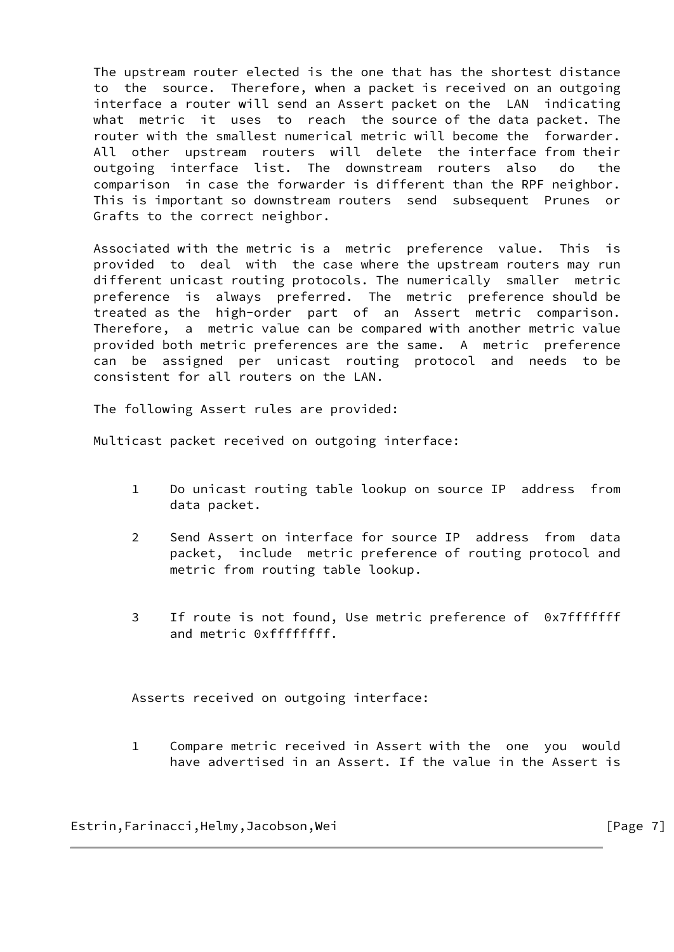The upstream router elected is the one that has the shortest distance to the source. Therefore, when a packet is received on an outgoing interface a router will send an Assert packet on the LAN indicating what metric it uses to reach the source of the data packet. The router with the smallest numerical metric will become the forwarder. All other upstream routers will delete the interface from their outgoing interface list. The downstream routers also do the comparison in case the forwarder is different than the RPF neighbor. This is important so downstream routers send subsequent Prunes or Grafts to the correct neighbor.

 Associated with the metric is a metric preference value. This is provided to deal with the case where the upstream routers may run different unicast routing protocols. The numerically smaller metric preference is always preferred. The metric preference should be treated as the high-order part of an Assert metric comparison. Therefore, a metric value can be compared with another metric value provided both metric preferences are the same. A metric preference can be assigned per unicast routing protocol and needs to be consistent for all routers on the LAN.

The following Assert rules are provided:

Multicast packet received on outgoing interface:

- 1 Do unicast routing table lookup on source IP address from data packet.
- 2 Send Assert on interface for source IP address from data packet, include metric preference of routing protocol and metric from routing table lookup.
- 3 If route is not found, Use metric preference of 0x7fffffff and metric 0xffffffff.

Asserts received on outgoing interface:

 1 Compare metric received in Assert with the one you would have advertised in an Assert. If the value in the Assert is

Estrin,Farinacci,Helmy,Jacobson,Wei [Page 7]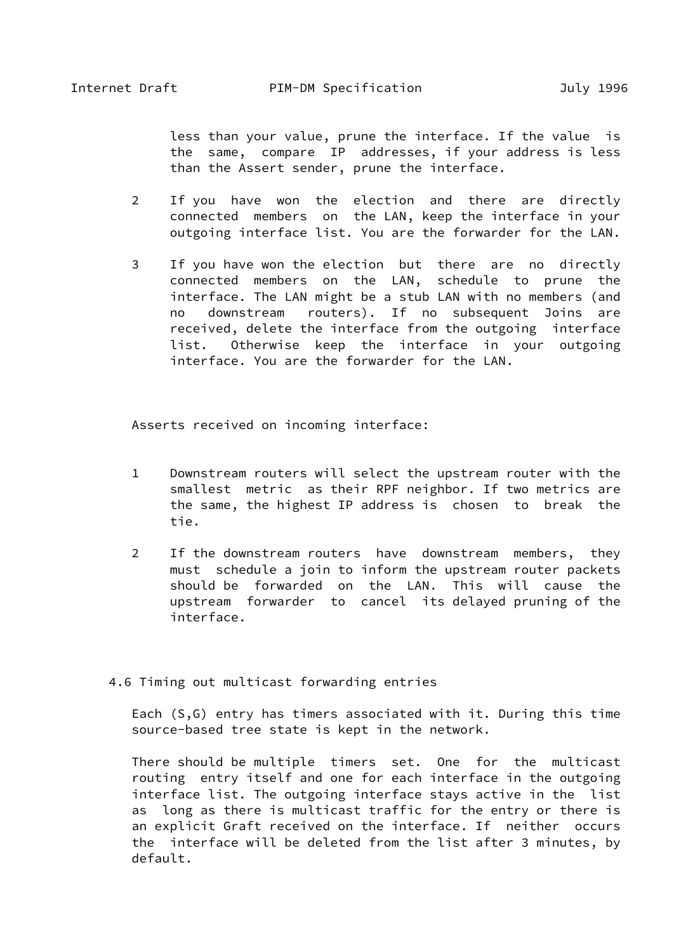less than your value, prune the interface. If the value is the same, compare IP addresses, if your address is less than the Assert sender, prune the interface.

- 2 If you have won the election and there are directly connected members on the LAN, keep the interface in your outgoing interface list. You are the forwarder for the LAN.
- 3 If you have won the election but there are no directly connected members on the LAN, schedule to prune the interface. The LAN might be a stub LAN with no members (and no downstream routers). If no subsequent Joins are received, delete the interface from the outgoing interface list. Otherwise keep the interface in your outgoing interface. You are the forwarder for the LAN.

Asserts received on incoming interface:

- 1 Downstream routers will select the upstream router with the smallest metric as their RPF neighbor. If two metrics are the same, the highest IP address is chosen to break the tie.
- 2 If the downstream routers have downstream members, they must schedule a join to inform the upstream router packets should be forwarded on the LAN. This will cause the upstream forwarder to cancel its delayed pruning of the interface.
- 4.6 Timing out multicast forwarding entries

 Each (S,G) entry has timers associated with it. During this time source-based tree state is kept in the network.

 There should be multiple timers set. One for the multicast routing entry itself and one for each interface in the outgoing interface list. The outgoing interface stays active in the list as long as there is multicast traffic for the entry or there is an explicit Graft received on the interface. If neither occurs the interface will be deleted from the list after 3 minutes, by default.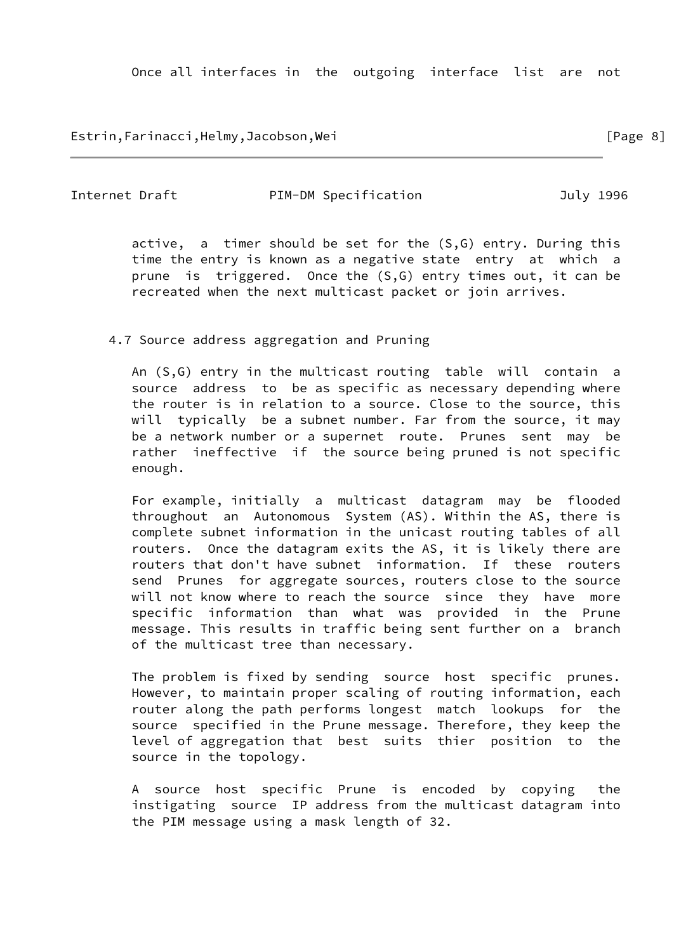Estrin,Farinacci,Helmy,Jacobson,Wei [Page 8]

Internet Draft **PIM-DM** Specification **Dramage Strategies** July 1996

 active, a timer should be set for the (S,G) entry. During this time the entry is known as a negative state entry at which a prune is triggered. Once the (S,G) entry times out, it can be recreated when the next multicast packet or join arrives.

## 4.7 Source address aggregation and Pruning

 An (S,G) entry in the multicast routing table will contain a source address to be as specific as necessary depending where the router is in relation to a source. Close to the source, this will typically be a subnet number. Far from the source, it may be a network number or a supernet route. Prunes sent may be rather ineffective if the source being pruned is not specific enough.

 For example, initially a multicast datagram may be flooded throughout an Autonomous System (AS). Within the AS, there is complete subnet information in the unicast routing tables of all routers. Once the datagram exits the AS, it is likely there are routers that don't have subnet information. If these routers send Prunes for aggregate sources, routers close to the source will not know where to reach the source since they have more specific information than what was provided in the Prune message. This results in traffic being sent further on a branch of the multicast tree than necessary.

 The problem is fixed by sending source host specific prunes. However, to maintain proper scaling of routing information, each router along the path performs longest match lookups for the source specified in the Prune message. Therefore, they keep the level of aggregation that best suits thier position to the source in the topology.

 A source host specific Prune is encoded by copying the instigating source IP address from the multicast datagram into the PIM message using a mask length of 32.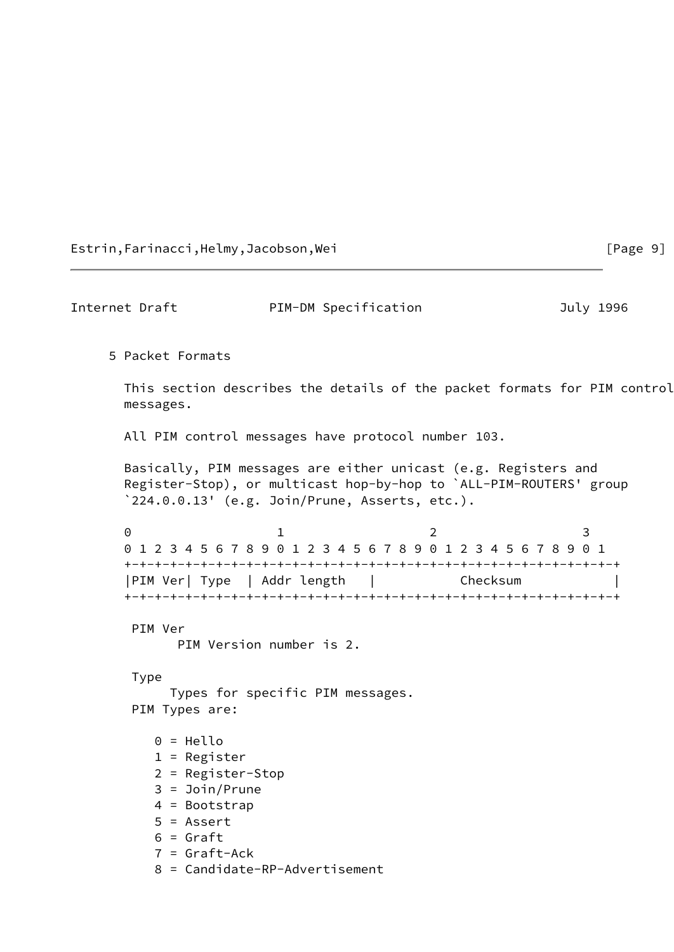Estrin,Farinacci,Helmy,Jacobson,Wei [Page 9]

Internet Draft **PIM-DM** Specification **CONTAGGE 1996**  5 Packet Formats This section describes the details of the packet formats for PIM control messages. All PIM control messages have protocol number 103. Basically, PIM messages are either unicast (e.g. Registers and Register-Stop), or multicast hop-by-hop to `ALL-PIM-ROUTERS' group `224.0.0.13' (e.g. Join/Prune, Asserts, etc.). 0 1 2 3 0 1 2 3 4 5 6 7 8 9 0 1 2 3 4 5 6 7 8 9 0 1 2 3 4 5 6 7 8 9 0 1 +-+-+-+-+-+-+-+-+-+-+-+-+-+-+-+-+-+-+-+-+-+-+-+-+-+-+-+-+-+-+-+-+ |PIM Ver| Type | Addr length | Checksum | +-+-+-+-+-+-+-+-+-+-+-+-+-+-+-+-+-+-+-+-+-+-+-+-+-+-+-+-+-+-+-+-+ PIM Ver PIM Version number is 2. Type Types for specific PIM messages. PIM Types are: 0 = Hello 1 = Register 2 = Register-Stop 3 = Join/Prune 4 = Bootstrap 5 = Assert  $6 =$  Graft 7 = Graft-Ack 8 = Candidate-RP-Advertisement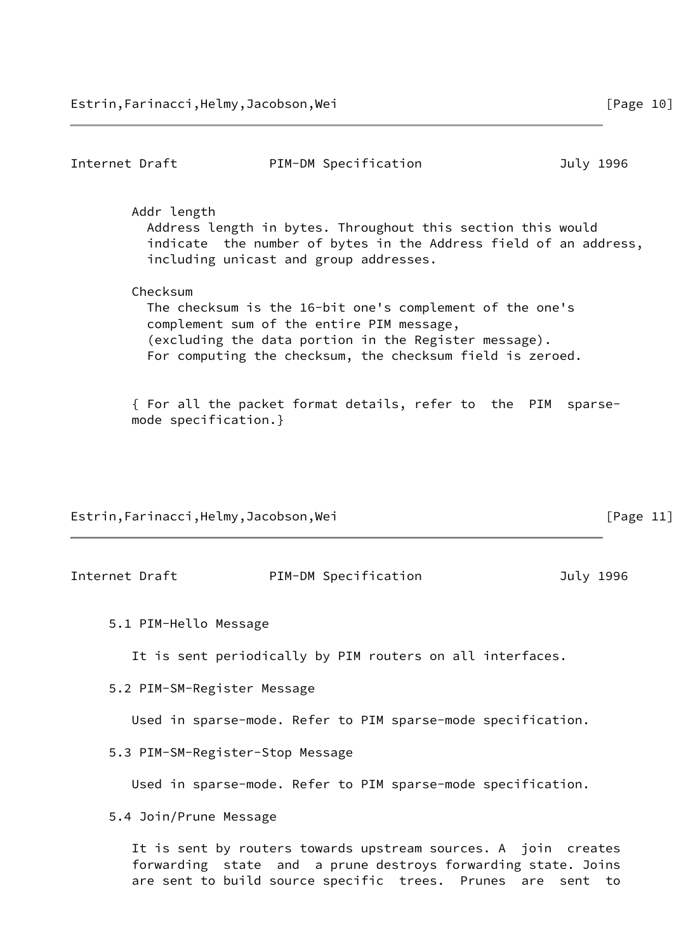Internet Draft **PIM-DM** Specification **Dramage Strategies** July 1996 Addr length Address length in bytes. Throughout this section this would indicate the number of bytes in the Address field of an address, including unicast and group addresses. Checksum The checksum is the 16-bit one's complement of the one's complement sum of the entire PIM message, (excluding the data portion in the Register message). For computing the checksum, the checksum field is zeroed. { For all the packet format details, refer to the PIM sparse mode specification.} Estrin,Farinacci,Helmy,Jacobson,Wei [Page 11] Internet Draft **PIM-DM** Specification **Dramage Strategies** July 1996 5.1 PIM-Hello Message It is sent periodically by PIM routers on all interfaces.

5.2 PIM-SM-Register Message

Used in sparse-mode. Refer to PIM sparse-mode specification.

5.3 PIM-SM-Register-Stop Message

Used in sparse-mode. Refer to PIM sparse-mode specification.

5.4 Join/Prune Message

 It is sent by routers towards upstream sources. A join creates forwarding state and a prune destroys forwarding state. Joins are sent to build source specific trees. Prunes are sent to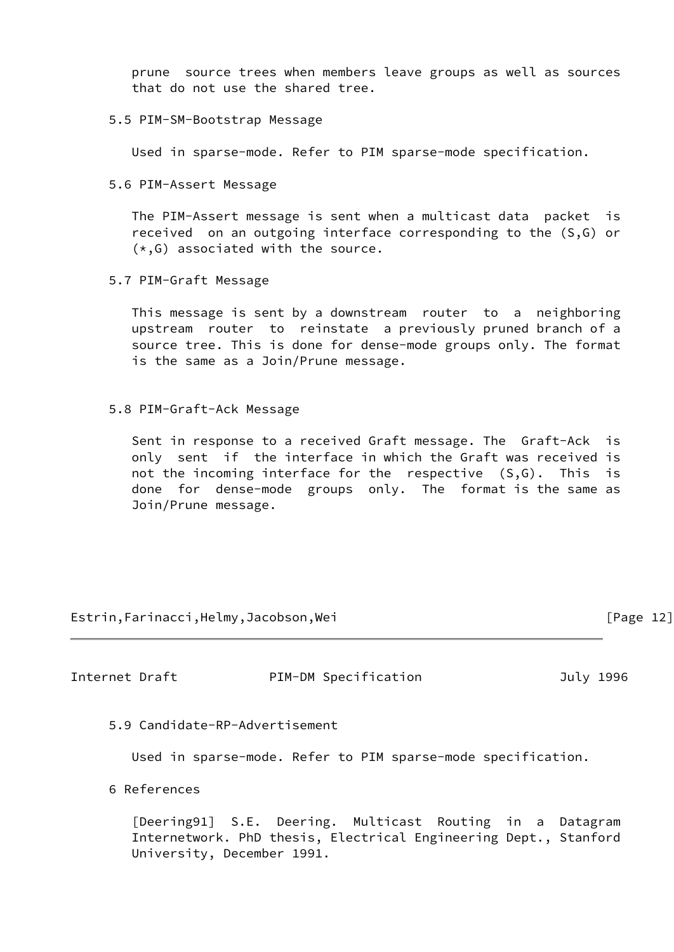prune source trees when members leave groups as well as sources that do not use the shared tree.

## 5.5 PIM-SM-Bootstrap Message

Used in sparse-mode. Refer to PIM sparse-mode specification.

5.6 PIM-Assert Message

 The PIM-Assert message is sent when a multicast data packet is received on an outgoing interface corresponding to the (S,G) or  $(*, G)$  associated with the source.

5.7 PIM-Graft Message

 This message is sent by a downstream router to a neighboring upstream router to reinstate a previously pruned branch of a source tree. This is done for dense-mode groups only. The format is the same as a Join/Prune message.

## 5.8 PIM-Graft-Ack Message

 Sent in response to a received Graft message. The Graft-Ack is only sent if the interface in which the Graft was received is not the incoming interface for the respective (S,G). This is done for dense-mode groups only. The format is the same as Join/Prune message.

Estrin,Farinacci,Helmy,Jacobson,Wei [Page 12]

Internet Draft **PIM-DM** Specification **Dramage Strategies** July 1996

5.9 Candidate-RP-Advertisement

Used in sparse-mode. Refer to PIM sparse-mode specification.

6 References

<span id="page-12-0"></span> [Deering91] S.E. Deering. Multicast Routing in a Datagram Internetwork. PhD thesis, Electrical Engineering Dept., Stanford University, December 1991.